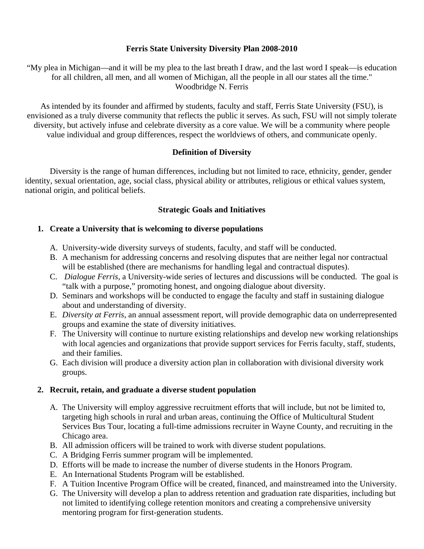### **Ferris State University Diversity Plan 2008-2010**

"My plea in Michigan—and it will be my plea to the last breath I draw, and the last word I speak—is education for all children, all men, and all women of Michigan, all the people in all our states all the time." Woodbridge N. Ferris

As intended by its founder and affirmed by students, faculty and staff, Ferris State University (FSU), is envisioned as a truly diverse community that reflects the public it serves. As such, FSU will not simply tolerate diversity, but actively infuse and celebrate diversity as a core value. We will be a community where people value individual and group differences, respect the worldviews of others, and communicate openly.

# **Definition of Diversity**

Diversity is the range of human differences, including but not limited to race, ethnicity, gender, gender identity, sexual orientation, age, social class, physical ability or attributes, religious or ethical values system, national origin, and political beliefs.

# **Strategic Goals and Initiatives**

# **1. Create a University that is welcoming to diverse populations**

- A. University-wide diversity surveys of students, faculty, and staff will be conducted.
- B. A mechanism for addressing concerns and resolving disputes that are neither legal nor contractual will be established (there are mechanisms for handling legal and contractual disputes).
- C. *Dialogue Ferris*, a University-wide series of lectures and discussions will be conducted. The goal is "talk with a purpose," promoting honest, and ongoing dialogue about diversity.
- D. Seminars and workshops will be conducted to engage the faculty and staff in sustaining dialogue about and understanding of diversity.
- E. *Diversity at Ferris*, an annual assessment report, will provide demographic data on underrepresented groups and examine the state of diversity initiatives.
- F. The University will continue to nurture existing relationships and develop new working relationships with local agencies and organizations that provide support services for Ferris faculty, staff, students, and their families.
- G. Each division will produce a diversity action plan in collaboration with divisional diversity work groups.

### **2. Recruit, retain, and graduate a diverse student population**

- A. The University will employ aggressive recruitment efforts that will include, but not be limited to, targeting high schools in rural and urban areas, continuing the Office of Multicultural Student Services Bus Tour, locating a full-time admissions recruiter in Wayne County, and recruiting in the Chicago area.
- B. All admission officers will be trained to work with diverse student populations.
- C. A Bridging Ferris summer program will be implemented.
- D. Efforts will be made to increase the number of diverse students in the Honors Program.
- E. An International Students Program will be established.
- F. A Tuition Incentive Program Office will be created, financed, and mainstreamed into the University.
- G. The University will develop a plan to address retention and graduation rate disparities, including but not limited to identifying college retention monitors and creating a comprehensive university mentoring program for first-generation students.